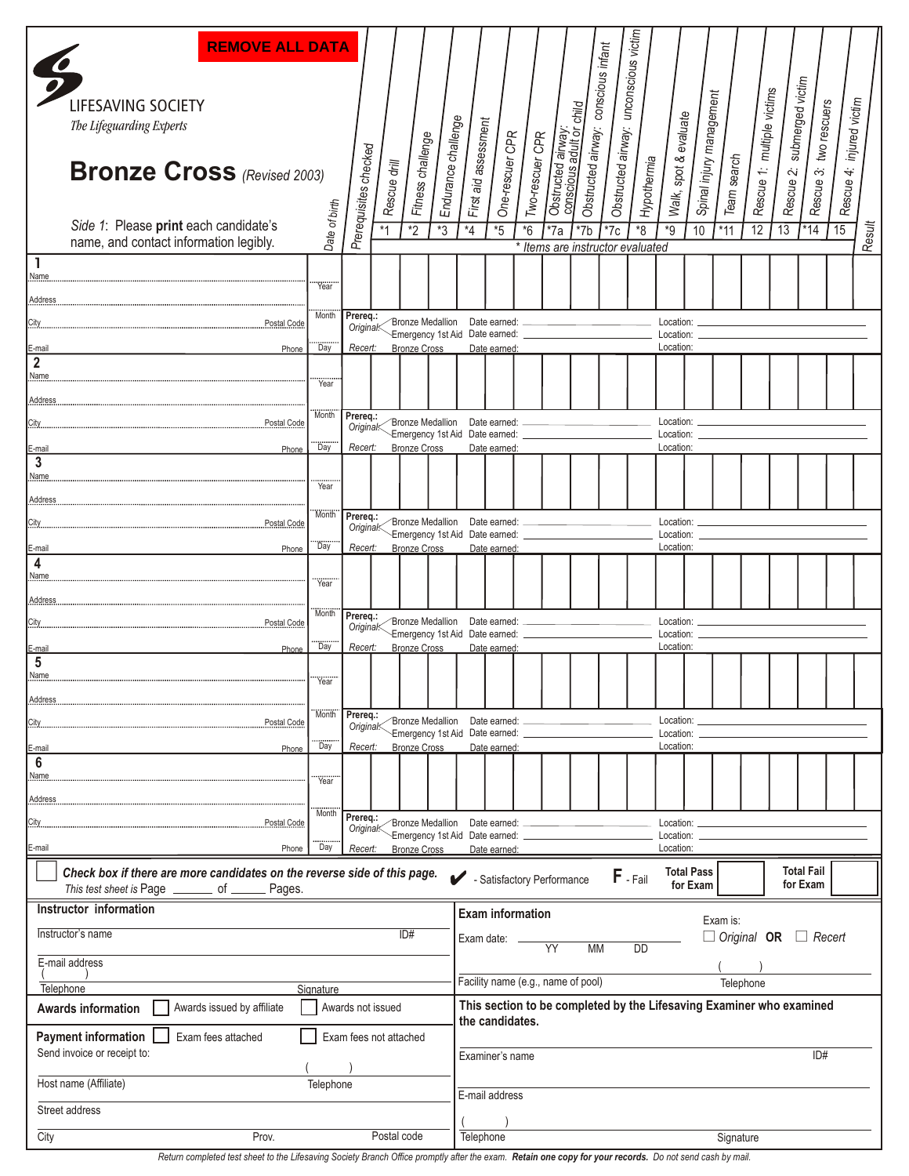| <b>REMOVE ALL DATA</b>                                                                                                                              |               |                          |              |                     |                                                           |                                                                                                        |                                                                                                            |                                                                                                            |                                           |                    |                    |                   |                                     |                          |             |                            |                  |                        |                          |        |  |
|-----------------------------------------------------------------------------------------------------------------------------------------------------|---------------|--------------------------|--------------|---------------------|-----------------------------------------------------------|--------------------------------------------------------------------------------------------------------|------------------------------------------------------------------------------------------------------------|------------------------------------------------------------------------------------------------------------|-------------------------------------------|--------------------|--------------------|-------------------|-------------------------------------|--------------------------|-------------|----------------------------|------------------|------------------------|--------------------------|--------|--|
| LIFESAVING SOCIETY                                                                                                                                  |               |                          |              |                     |                                                           |                                                                                                        |                                                                                                            |                                                                                                            |                                           | conscious infant   | unconscious victim |                   |                                     |                          |             |                            | submerged victim |                        |                          |        |  |
| The Lifeguarding Experts                                                                                                                            |               |                          |              |                     |                                                           |                                                                                                        |                                                                                                            |                                                                                                            |                                           |                    |                    |                   |                                     |                          |             |                            |                  |                        |                          |        |  |
| <b>Bronze Cross</b> (Revised 2003)                                                                                                                  |               | Prerequisites checked    | Rescue drill | Fitness challenge   | Endurance challenge                                       | First aid assessment                                                                                   | One-rescuer CPR                                                                                            | Two-rescuer CPR                                                                                            | Obstructed airway:                        | Obstructed airway: | Obstructed airway: | Hypothermia       | Walk, spot & evaluate               | Spinal injury management | Team search | Rescue 1: multiple victims | Rescue 2:        | Rescue 3: two rescuers | Rescue 4: injured victim |        |  |
| Side 1: Please print each candidate's<br>name, and contact information legibly.                                                                     | Date of birth |                          | $*_{1}$      | $\overline{2}$      | $*3$                                                      | $*_{4}$                                                                                                | $*5$                                                                                                       | $*6$                                                                                                       | $*7a$<br>* Items are instructor evaluated | $*7b$              | $*7c$              | $\overline{\ }$ 8 | $*9$                                | 10                       | $*11$       | 12                         | 13               | $*14$                  | 15                       | Result |  |
| 1<br>Name                                                                                                                                           |               |                          |              |                     |                                                           |                                                                                                        |                                                                                                            |                                                                                                            |                                           |                    |                    |                   |                                     |                          |             |                            |                  |                        |                          |        |  |
| Address                                                                                                                                             | Year          |                          |              |                     |                                                           |                                                                                                        |                                                                                                            |                                                                                                            |                                           |                    |                    |                   |                                     |                          |             |                            |                  |                        |                          |        |  |
| City<br>Postal Code                                                                                                                                 | Month         | Prereq.:<br>Original<    |              |                     | Bronze Medallion<br>Emergency 1st Aid Date earned:        |                                                                                                        | Date earned: _                                                                                             |                                                                                                            |                                           |                    |                    |                   | Location:                           |                          |             |                            |                  |                        |                          |        |  |
| E-mail<br>Phone                                                                                                                                     | Day           | Recert:                  |              | <b>Bronze Cross</b> |                                                           |                                                                                                        | Date earned:                                                                                               |                                                                                                            |                                           |                    |                    |                   | Location:<br>Location:              |                          |             |                            |                  |                        |                          |        |  |
| $\mathbf 2$<br>Name                                                                                                                                 | Year          |                          |              |                     |                                                           |                                                                                                        |                                                                                                            |                                                                                                            |                                           |                    |                    |                   |                                     |                          |             |                            |                  |                        |                          |        |  |
| Address                                                                                                                                             |               |                          |              |                     |                                                           |                                                                                                        |                                                                                                            |                                                                                                            |                                           |                    |                    |                   |                                     |                          |             |                            |                  |                        |                          |        |  |
| City<br>Postal Code                                                                                                                                 | <b>Month</b>  | Prereq.:<br>Original<    |              |                     | <b>Bronze Medallion</b><br>Emergency 1st Aid Date earned: |                                                                                                        | Date earned:                                                                                               |                                                                                                            |                                           |                    |                    |                   | Location:<br>Location:              |                          |             |                            |                  |                        |                          |        |  |
| E-mail<br>Phone<br>3                                                                                                                                | Day           | Recert:                  |              | <b>Bronze Cross</b> |                                                           |                                                                                                        | Date earned:                                                                                               |                                                                                                            |                                           |                    |                    |                   | Location:                           |                          |             |                            |                  |                        |                          |        |  |
| Name                                                                                                                                                | Year          |                          |              |                     |                                                           |                                                                                                        |                                                                                                            |                                                                                                            |                                           |                    |                    |                   |                                     |                          |             |                            |                  |                        |                          |        |  |
| Address                                                                                                                                             | Month         | Prereq.:                 |              |                     |                                                           |                                                                                                        |                                                                                                            |                                                                                                            |                                           |                    |                    |                   |                                     |                          |             |                            |                  |                        |                          |        |  |
| City.<br>Postal Code                                                                                                                                |               | Original <sup>&lt;</sup> |              |                     | Bronze Medallion                                          | Date earned:<br>Emergency 1st Aid Date earned:                                                         |                                                                                                            |                                                                                                            |                                           |                    |                    |                   |                                     | Location:<br>Location:   |             |                            |                  |                        |                          |        |  |
| E-mail<br>Phone<br>4                                                                                                                                | <br>Day       | Recert:                  |              | <b>Bronze Cross</b> |                                                           |                                                                                                        | Date earned:                                                                                               |                                                                                                            |                                           |                    |                    |                   | Location:                           |                          |             |                            |                  |                        |                          |        |  |
| Name                                                                                                                                                | Year          |                          |              |                     |                                                           |                                                                                                        |                                                                                                            |                                                                                                            |                                           |                    |                    |                   |                                     |                          |             |                            |                  |                        |                          |        |  |
| Address                                                                                                                                             | Month         | Prereq.:                 |              |                     |                                                           |                                                                                                        |                                                                                                            |                                                                                                            |                                           |                    |                    |                   |                                     |                          |             |                            |                  |                        |                          |        |  |
| Postal Code                                                                                                                                         | Day           | Original<                |              |                     | Bronze Medallion                                          | Date earned:<br>Emergency 1st Aid Date earned:                                                         |                                                                                                            |                                                                                                            |                                           |                    |                    |                   | Location:<br>Location:<br>Location: |                          |             |                            |                  |                        |                          |        |  |
| E-mail<br>Phone<br>5                                                                                                                                |               | Recert:                  |              | <b>Bronze Cross</b> |                                                           |                                                                                                        | Date earned                                                                                                |                                                                                                            |                                           |                    |                    |                   |                                     |                          |             |                            |                  |                        |                          |        |  |
| Name                                                                                                                                                | Year          |                          |              |                     |                                                           |                                                                                                        |                                                                                                            |                                                                                                            |                                           |                    |                    |                   |                                     |                          |             |                            |                  |                        |                          |        |  |
| Address<br>City.<br>Postal Code                                                                                                                     | Month         | Prereq.:                 |              |                     | Bronze Medallion                                          | Date earned:                                                                                           |                                                                                                            |                                                                                                            |                                           |                    |                    |                   | Location:                           |                          |             |                            |                  |                        |                          |        |  |
| E-mail<br>Phone                                                                                                                                     | <br>Day       | Original<<br>Recert:     |              | <b>Bronze Cross</b> | Emergency 1st Aid Date earned:                            |                                                                                                        | Date earned:                                                                                               |                                                                                                            |                                           |                    |                    |                   | Location:<br>Location:              |                          |             |                            |                  |                        |                          |        |  |
| $\boldsymbol{6}$                                                                                                                                    |               |                          |              |                     |                                                           |                                                                                                        |                                                                                                            |                                                                                                            |                                           |                    |                    |                   |                                     |                          |             |                            |                  |                        |                          |        |  |
| Name<br>Address.                                                                                                                                    | <br>Year      |                          |              |                     |                                                           |                                                                                                        |                                                                                                            |                                                                                                            |                                           |                    |                    |                   |                                     |                          |             |                            |                  |                        |                          |        |  |
| City.<br>Postal Code                                                                                                                                | Month         | Prereq.:                 |              |                     | Bronze Medallion                                          |                                                                                                        | Date earned:                                                                                               |                                                                                                            |                                           |                    |                    |                   | Location:                           |                          |             |                            |                  |                        |                          |        |  |
| E-mail<br>Phone                                                                                                                                     | Day           | Original<<br>Recert:     |              |                     | Emergency 1st Aid Date earned:                            |                                                                                                        | Date earned:                                                                                               |                                                                                                            |                                           |                    |                    |                   | Location:<br>Location:              |                          |             |                            |                  |                        |                          |        |  |
| <b>Bronze Cross</b><br>Check box if there are more candidates on the reverse side of this page.<br>This test sheet is Page _______ of ______ Pages. |               |                          |              |                     |                                                           |                                                                                                        | <b>Total Fail</b><br><b>Total Pass</b><br>$F -$ Fail<br>- Satisfactory Performance<br>for Exam<br>for Exam |                                                                                                            |                                           |                    |                    |                   |                                     |                          |             |                            |                  |                        |                          |        |  |
| Instructor information                                                                                                                              |               |                          |              |                     |                                                           |                                                                                                        | <b>Exam information</b>                                                                                    |                                                                                                            |                                           |                    |                    |                   |                                     |                          |             |                            |                  |                        |                          |        |  |
| Instructor's name<br>ID#<br>E-mail address                                                                                                          |               |                          |              |                     |                                                           | Exam is:<br>$\Box$ Original <b>OR</b><br>$\Box$ Recert<br>Exam date: _<br>YY<br><b>MM</b><br><b>DD</b> |                                                                                                            |                                                                                                            |                                           |                    |                    |                   |                                     |                          |             |                            |                  |                        |                          |        |  |
|                                                                                                                                                     |               |                          |              |                     |                                                           |                                                                                                        |                                                                                                            |                                                                                                            |                                           |                    |                    |                   |                                     |                          | Telephone   |                            |                  |                        |                          |        |  |
| Telephone<br>Signature<br>Awards issued by affiliate<br>Awards not issued<br><b>Awards information</b>                                              |               |                          |              |                     |                                                           |                                                                                                        |                                                                                                            | Facility name (e.g., name of pool)<br>This section to be completed by the Lifesaving Examiner who examined |                                           |                    |                    |                   |                                     |                          |             |                            |                  |                        |                          |        |  |
| <b>Payment information</b><br>Exam fees attached                                                                                                    |               | Exam fees not attached   |              |                     |                                                           | the candidates.                                                                                        |                                                                                                            |                                                                                                            |                                           |                    |                    |                   |                                     |                          |             |                            |                  |                        |                          |        |  |
| Send invoice or receipt to:                                                                                                                         |               |                          |              |                     |                                                           |                                                                                                        | Examiner's name                                                                                            |                                                                                                            |                                           |                    |                    |                   |                                     |                          | ID#         |                            |                  |                        |                          |        |  |
| Host name (Affiliate)                                                                                                                               | Telephone     |                          |              |                     |                                                           |                                                                                                        |                                                                                                            |                                                                                                            |                                           |                    |                    |                   |                                     |                          |             |                            |                  |                        |                          |        |  |
| Street address                                                                                                                                      |               |                          |              |                     |                                                           |                                                                                                        | E-mail address                                                                                             |                                                                                                            |                                           |                    |                    |                   |                                     |                          |             |                            |                  |                        |                          |        |  |
| City<br>Prov.                                                                                                                                       |               |                          | Postal code  |                     |                                                           | Telephone                                                                                              |                                                                                                            |                                                                                                            |                                           |                    |                    |                   |                                     | Signature                |             |                            |                  |                        |                          |        |  |